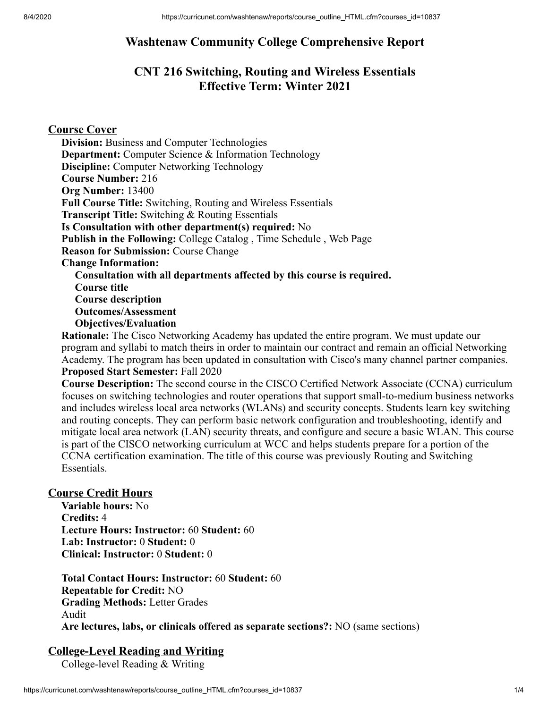## **Washtenaw Community College Comprehensive Report**

# **CNT 216 Switching, Routing and Wireless Essentials Effective Term: Winter 2021**

### **Course Cover**

**Division:** Business and Computer Technologies **Department:** Computer Science & Information Technology **Discipline:** Computer Networking Technology **Course Number:** 216 **Org Number:** 13400 **Full Course Title:** Switching, Routing and Wireless Essentials **Transcript Title:** Switching & Routing Essentials **Is Consultation with other department(s) required:** No **Publish in the Following:** College Catalog , Time Schedule , Web Page **Reason for Submission:** Course Change **Change Information: Consultation with all departments affected by this course is required. Course title Course description Outcomes/Assessment Objectives/Evaluation**

**Rationale:** The Cisco Networking Academy has updated the entire program. We must update our program and syllabi to match theirs in order to maintain our contract and remain an official Networking Academy. The program has been updated in consultation with Cisco's many channel partner companies. **Proposed Start Semester:** Fall 2020

**Course Description:** The second course in the CISCO Certified Network Associate (CCNA) curriculum focuses on switching technologies and router operations that support small-to-medium business networks and includes wireless local area networks (WLANs) and security concepts. Students learn key switching and routing concepts. They can perform basic network configuration and troubleshooting, identify and mitigate local area network (LAN) security threats, and configure and secure a basic WLAN. This course is part of the CISCO networking curriculum at WCC and helps students prepare for a portion of the CCNA certification examination. The title of this course was previously Routing and Switching Essentials.

#### **Course Credit Hours**

**Variable hours:** No **Credits:** 4 **Lecture Hours: Instructor:** 60 **Student:** 60 **Lab: Instructor:** 0 **Student:** 0 **Clinical: Instructor:** 0 **Student:** 0

**Total Contact Hours: Instructor:** 60 **Student:** 60 **Repeatable for Credit:** NO **Grading Methods:** Letter Grades Audit **Are lectures, labs, or clinicals offered as separate sections?:** NO (same sections)

## **College-Level Reading and Writing**

College-level Reading & Writing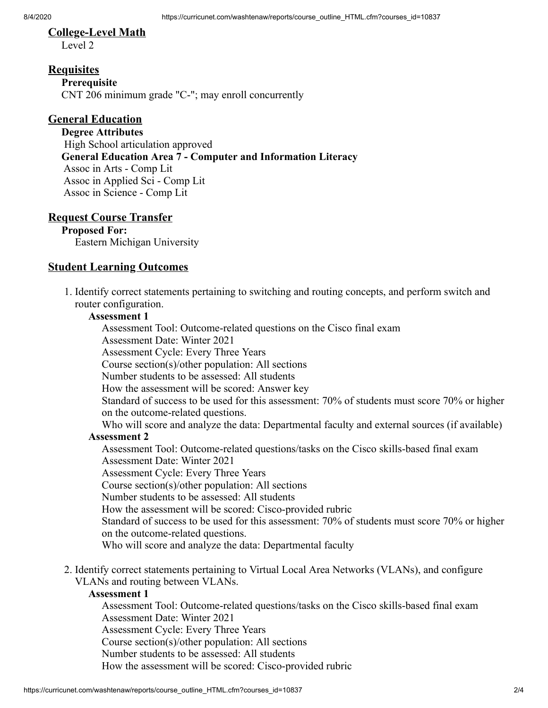# **College-Level Math**

Level 2

### **Requisites**

**Prerequisite** CNT 206 minimum grade "C-"; may enroll concurrently

## **General Education**

**Degree Attributes** High School articulation approved **General Education Area 7 - Computer and Information Literacy** Assoc in Arts - Comp Lit Assoc in Applied Sci - Comp Lit Assoc in Science - Comp Lit

## **Request Course Transfer**

**Proposed For:** Eastern Michigan University

## **Student Learning Outcomes**

1. Identify correct statements pertaining to switching and routing concepts, and perform switch and router configuration.

#### **Assessment 1**

Assessment Tool: Outcome-related questions on the Cisco final exam

Assessment Date: Winter 2021

Assessment Cycle: Every Three Years

Course section(s)/other population: All sections

Number students to be assessed: All students

How the assessment will be scored: Answer key

Standard of success to be used for this assessment: 70% of students must score 70% or higher on the outcome-related questions.

Who will score and analyze the data: Departmental faculty and external sources (if available)

## **Assessment 2**

Assessment Tool: Outcome-related questions/tasks on the Cisco skills-based final exam Assessment Date: Winter 2021

Assessment Cycle: Every Three Years

Course section(s)/other population: All sections

Number students to be assessed: All students

How the assessment will be scored: Cisco-provided rubric

Standard of success to be used for this assessment: 70% of students must score 70% or higher on the outcome-related questions.

Who will score and analyze the data: Departmental faculty

2. Identify correct statements pertaining to Virtual Local Area Networks (VLANs), and configure VLANs and routing between VLANs.

#### **Assessment 1**

Assessment Tool: Outcome-related questions/tasks on the Cisco skills-based final exam Assessment Date: Winter 2021 Assessment Cycle: Every Three Years

Course section(s)/other population: All sections

Number students to be assessed: All students

How the assessment will be scored: Cisco-provided rubric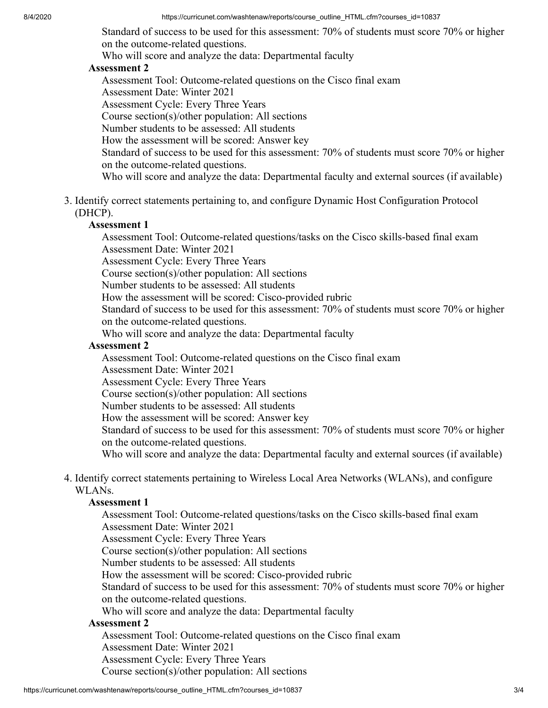Standard of success to be used for this assessment: 70% of students must score 70% or higher on the outcome-related questions.

Who will score and analyze the data: Departmental faculty

#### **Assessment 2**

Assessment Tool: Outcome-related questions on the Cisco final exam Assessment Date: Winter 2021 Assessment Cycle: Every Three Years Course section(s)/other population: All sections Number students to be assessed: All students How the assessment will be scored: Answer key Standard of success to be used for this assessment: 70% of students must score 70% or higher on the outcome-related questions. Who will score and analyze the data: Departmental faculty and external sources (if available)

3. Identify correct statements pertaining to, and configure Dynamic Host Configuration Protocol (DHCP).

#### **Assessment 1**

Assessment Tool: Outcome-related questions/tasks on the Cisco skills-based final exam Assessment Date: Winter 2021

Assessment Cycle: Every Three Years

Course section(s)/other population: All sections

Number students to be assessed: All students

How the assessment will be scored: Cisco-provided rubric

Standard of success to be used for this assessment: 70% of students must score 70% or higher on the outcome-related questions.

Who will score and analyze the data: Departmental faculty

#### **Assessment 2**

Assessment Tool: Outcome-related questions on the Cisco final exam

Assessment Date: Winter 2021

Assessment Cycle: Every Three Years

Course section(s)/other population: All sections

Number students to be assessed: All students

How the assessment will be scored: Answer key

Standard of success to be used for this assessment: 70% of students must score 70% or higher on the outcome-related questions.

Who will score and analyze the data: Departmental faculty and external sources (if available)

4. Identify correct statements pertaining to Wireless Local Area Networks (WLANs), and configure WLANs.

#### **Assessment 1**

Assessment Tool: Outcome-related questions/tasks on the Cisco skills-based final exam Assessment Date: Winter 2021 Assessment Cycle: Every Three Years Course section(s)/other population: All sections Number students to be assessed: All students How the assessment will be scored: Cisco-provided rubric Standard of success to be used for this assessment: 70% of students must score 70% or higher on the outcome-related questions. Who will score and analyze the data: Departmental faculty **Assessment 2**

Assessment Tool: Outcome-related questions on the Cisco final exam Assessment Date: Winter 2021 Assessment Cycle: Every Three Years Course section(s)/other population: All sections